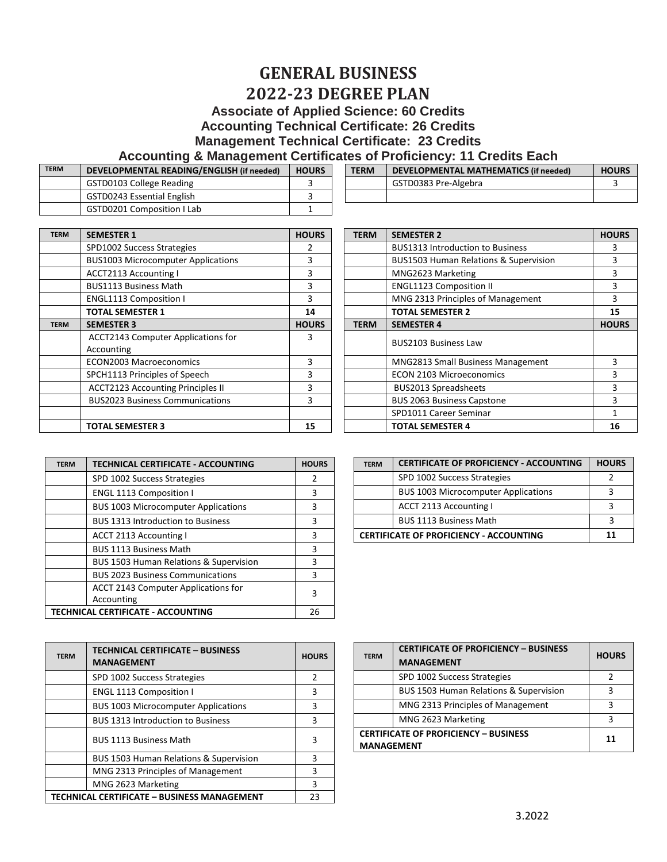## **GENERAL BUSINESS 2022-23 DEGREE PLAN Associate of Applied Science: 60 Credits Accounting Technical Certificate: 26 Credits Management Technical Certificate: 23 Credits**

## **Accounting & Management Certificates of Proficiency: 11 Credits Each**

| <b>TERM</b> | DEVELOPMENTAL READING/ENGLISH (if needed) | <b>HOURS</b> | <b>TERM</b> | DEVELOPMENTAL MATHEMATICS (if needed) | <b>HOURS</b> |
|-------------|-------------------------------------------|--------------|-------------|---------------------------------------|--------------|
|             | GSTD0103 College Reading                  |              |             | GSTD0383 Pre-Algebra                  |              |
|             | GSTD0243 Essential English                |              |             |                                       |              |
|             | <b>GSTD0201 Composition I Lab</b>         |              |             |                                       |              |

| DEVELOPMENTAL READING/ENGLISH (if needed) | <b>HOURS</b> | <b>TERM</b> | DEVELOPMENTAL MATHEMATICS (if needed) | <b>HOURS</b> |
|-------------------------------------------|--------------|-------------|---------------------------------------|--------------|
| GSTD0103 College Reading                  |              |             | GSTD0383 Pre-Algebra                  |              |
| GSTD0243 Essential English                |              |             |                                       |              |

| <b>TERM</b> | <b>SEMESTER 1</b>                         | <b>HOURS</b> |
|-------------|-------------------------------------------|--------------|
|             | SPD1002 Success Strategies                | 2            |
|             | <b>BUS1003 Microcomputer Applications</b> | 3            |
|             | <b>ACCT2113 Accounting I</b>              | 3            |
|             | <b>BUS1113 Business Math</b>              | 3            |
|             | <b>ENGL1113 Composition I</b>             | 3            |
|             | <b>TOTAL SEMESTER 1</b>                   | 14           |
| <b>TERM</b> | <b>SEMESTER 3</b>                         | <b>HOURS</b> |
|             | <b>ACCT2143 Computer Applications for</b> | 3            |
|             | Accounting                                |              |
|             | <b>ECON2003 Macroeconomics</b>            | 3            |
|             | SPCH1113 Principles of Speech             | 3            |
|             | <b>ACCT2123 Accounting Principles II</b>  | 3            |
|             | <b>BUS2023 Business Communications</b>    | 3            |
|             |                                           |              |
|             | <b>TOTAL SEMESTER 3</b>                   | 15           |

| <b>TERM</b> | <b>SEMESTER 1</b>                         | <b>HOURS</b> | <b>TERM</b> | <b>SEMESTER 2</b>                                | <b>HOURS</b> |
|-------------|-------------------------------------------|--------------|-------------|--------------------------------------------------|--------------|
|             | SPD1002 Success Strategies                |              |             | <b>BUS1313 Introduction to Business</b>          | 3            |
|             | <b>BUS1003 Microcomputer Applications</b> | 3            |             | <b>BUS1503 Human Relations &amp; Supervision</b> | 3            |
|             | ACCT2113 Accounting I                     | 3            |             | MNG2623 Marketing                                | 3            |
|             | <b>BUS1113 Business Math</b>              | 3            |             | <b>ENGL1123 Composition II</b>                   | 3            |
|             | <b>ENGL1113 Composition I</b>             | 3            |             | MNG 2313 Principles of Management                | 3            |
|             | <b>TOTAL SEMESTER 1</b>                   | 14           |             | <b>TOTAL SEMESTER 2</b>                          | 15           |
| <b>TERM</b> | <b>SEMESTER 3</b>                         | <b>HOURS</b> | <b>TERM</b> | <b>SEMESTER 4</b>                                | <b>HOURS</b> |
|             | ACCT2143 Computer Applications for        |              |             | <b>BUS2103 Business Law</b>                      |              |
|             | Accounting                                |              |             |                                                  |              |
|             | <b>ECON2003 Macroeconomics</b>            | 3            |             | MNG2813 Small Business Management                | 3            |
|             | SPCH1113 Principles of Speech             | 3            |             | <b>ECON 2103 Microeconomics</b>                  | 3            |
|             | <b>ACCT2123 Accounting Principles II</b>  | 3            |             | <b>BUS2013 Spreadsheets</b>                      | 3            |
|             | <b>BUS2023 Business Communications</b>    | 3            |             | <b>BUS 2063 Business Capstone</b>                | 3            |
|             |                                           |              |             | SPD1011 Career Seminar                           |              |
|             | <b>TOTAL SEMESTER 3</b>                   | 15           |             | <b>TOTAL SEMESTER 4</b>                          | 16           |

| <b>TERM</b> | <b>TECHNICAL CERTIFICATE - ACCOUNTING</b>  | <b>HOURS</b> | <b>TERM</b> | <b>CERTIFICATE OF PROFICIENCY - ACCOUNTING</b> | <b>HOURS</b> |
|-------------|--------------------------------------------|--------------|-------------|------------------------------------------------|--------------|
|             | SPD 1002 Success Strategies                | 2            |             | SPD 1002 Success Strategies                    |              |
|             | <b>ENGL 1113 Composition I</b>             | 3            |             | <b>BUS 1003 Microcomputer Applications</b>     |              |
|             | <b>BUS 1003 Microcomputer Applications</b> | 3            |             | ACCT 2113 Accounting I                         |              |
|             | <b>BUS 1313 Introduction to Business</b>   | 3            |             | <b>BUS 1113 Business Math</b>                  | 3            |
|             | <b>ACCT 2113 Accounting I</b>              | 3            |             | <b>CERTIFICATE OF PROFICIENCY - ACCOUNTING</b> | 11           |
|             | <b>BUS 1113 Business Math</b>              | 3            |             |                                                |              |
|             | BUS 1503 Human Relations & Supervision     | 3            |             |                                                |              |
|             | <b>BUS 2023 Business Communications</b>    | 3            |             |                                                |              |
|             | ACCT 2143 Computer Applications for        | 3            |             |                                                |              |
|             | Accounting                                 |              |             |                                                |              |
|             | TECHNICAL CERTIFICATE - ACCOUNTING         | 26           |             |                                                |              |

| <b>TERM</b> | <b>TECHNICAL CERTIFICATE - BUSINESS</b><br><b>MANAGEMENT</b> | <b>HOURS</b> | <b>TERM</b>       | <b>CERTIFICATE OF PROFICIENCY - I</b><br><b>MANAGEMENT</b> |
|-------------|--------------------------------------------------------------|--------------|-------------------|------------------------------------------------------------|
|             | SPD 1002 Success Strategies                                  | 2            |                   | SPD 1002 Success Strategies                                |
|             | <b>ENGL 1113 Composition I</b>                               | 3            |                   | BUS 1503 Human Relations & Sup                             |
|             | <b>BUS 1003 Microcomputer Applications</b>                   | 3            |                   | MNG 2313 Principles of Manager                             |
|             | <b>BUS 1313 Introduction to Business</b>                     | 3            |                   | MNG 2623 Marketing                                         |
|             | <b>BUS 1113 Business Math</b>                                | 3            | <b>MANAGEMENT</b> | <b>CERTIFICATE OF PROFICIENCY - BUSINESS</b>               |
|             | BUS 1503 Human Relations & Supervision                       | 3            |                   |                                                            |
|             | MNG 2313 Principles of Management                            | 3            |                   |                                                            |
|             | MNG 2623 Marketing                                           | 3            |                   |                                                            |
|             | TECHNICAL CERTIFICATE - BUSINESS MANAGEMENT                  | 23           |                   |                                                            |

| TECHNICAL CERTIFICATE - ACCOUNTING         | <b>HOURS</b> | <b>TERM</b>                                    | <b>CERTIFICATE OF PROFICIENCY - ACCOUNTING</b> | <b>HOURS</b> |
|--------------------------------------------|--------------|------------------------------------------------|------------------------------------------------|--------------|
| SPD 1002 Success Strategies                |              |                                                | SPD 1002 Success Strategies                    |              |
| <b>ENGL 1113 Composition I</b>             |              |                                                | <b>BUS 1003 Microcomputer Applications</b>     |              |
| <b>BUS 1003 Microcomputer Applications</b> |              |                                                | ACCT 2113 Accounting I                         |              |
| <b>BUS 1313 Introduction to Business</b>   |              |                                                | <b>BUS 1113 Business Math</b>                  |              |
| ACCT 2113 Accounting I                     |              | <b>CERTIFICATE OF PROFICIENCY - ACCOUNTING</b> |                                                |              |

| TECHNICAL CERTIFICATE - BUSINESS           | <b>HOURS</b> |  | <b>TERM</b>       | <b>CERTIFICATE OF PROFICIENCY - BUSINESS</b> | <b>HOURS</b> |
|--------------------------------------------|--------------|--|-------------------|----------------------------------------------|--------------|
| MANAGEMENT                                 |              |  |                   | <b>MANAGEMENT</b>                            |              |
| SPD 1002 Success Strategies                |              |  |                   | SPD 1002 Success Strategies                  |              |
| <b>ENGL 1113 Composition I</b>             |              |  |                   | BUS 1503 Human Relations & Supervision       |              |
| <b>BUS 1003 Microcomputer Applications</b> |              |  |                   | MNG 2313 Principles of Management            |              |
| <b>BUS 1313 Introduction to Business</b>   |              |  |                   | MNG 2623 Marketing                           |              |
| BUS 1113 Business Math                     |              |  | <b>MANAGEMENT</b> | <b>CERTIFICATE OF PROFICIENCY - BUSINESS</b> | 11           |